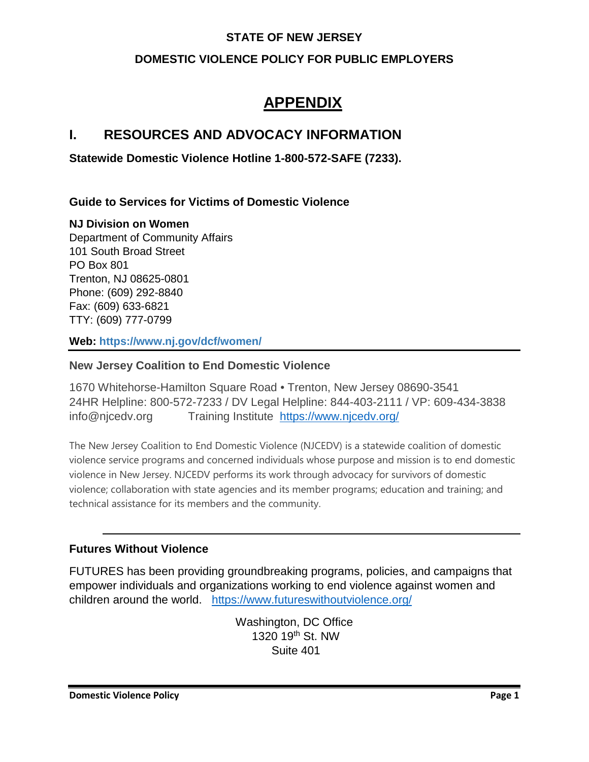#### **STATE OF NEW JERSEY**

#### **DOMESTIC VIOLENCE POLICY FOR PUBLIC EMPLOYERS**

## **APPENDIX**

### **I. RESOURCES AND ADVOCACY INFORMATION**

**Statewide Domestic Violence Hotline 1-800-572-SAFE (7233).**

**Guide to Services for Victims of Domestic Violence** 

#### **NJ Division on Women**

Department of Community Affairs 101 South Broad Street PO Box 801 Trenton, NJ 08625-0801 Phone: (609) 292-8840 Fax: (609) 633-6821 TTY: (609) 777-0799

**Web: https://www.nj.gov/dcf/women/**

#### **New Jersey Coalition to End Domestic Violence**

1670 Whitehorse-Hamilton Square Road • Trenton, New Jersey 08690-3541 24HR Helpline: 800-572-7233 / DV Legal Helpline: 844-403-2111 / VP: 609-434-3838 info@njcedv.org Training Institute <https://www.njcedv.org/>

The New Jersey Coalition to End Domestic Violence (NJCEDV) is a statewide coalition of domestic violence service programs and concerned individuals whose purpose and mission is to end domestic violence in New Jersey. NJCEDV performs its work through advocacy for survivors of domestic violence; collaboration with state agencies and its member programs; education and training; and technical assistance for its members and the community.

#### **Futures Without Violence**

FUTURES has been providing groundbreaking programs, policies, and campaigns that empower individuals and organizations working to end violence against women and children around the world. <https://www.futureswithoutviolence.org/>

> Washington, DC Office 1320 19th St. NW Suite 401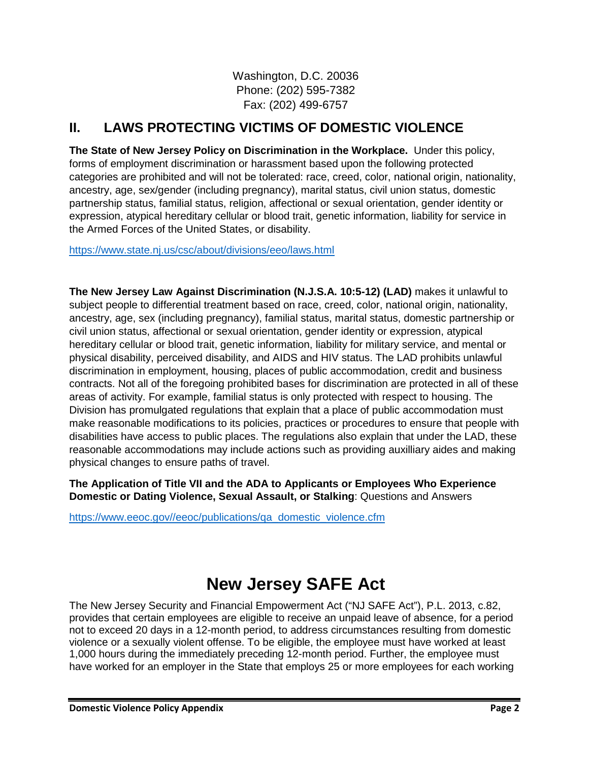Washington, D.C. 20036 Phone: (202) 595-7382 Fax: (202) 499-6757

## **II. LAWS PROTECTING VICTIMS OF DOMESTIC VIOLENCE**

**The State of New Jersey Policy on Discrimination in the Workplace.** Under this policy, forms of employment discrimination or harassment based upon the following protected categories are prohibited and will not be tolerated: race, creed, color, national origin, nationality, ancestry, age, sex/gender (including pregnancy), marital status, civil union status, domestic partnership status, familial status, religion, affectional or sexual orientation, gender identity or expression, atypical hereditary cellular or blood trait, genetic information, liability for service in the Armed Forces of the United States, or disability.

<https://www.state.nj.us/csc/about/divisions/eeo/laws.html>

**The New Jersey Law Against Discrimination (N.J.S.A. 10:5-12) (LAD)** makes it unlawful to subject people to differential treatment based on race, creed, color, national origin, nationality, ancestry, age, sex (including pregnancy), familial status, marital status, domestic partnership or civil union status, affectional or sexual orientation, gender identity or expression, atypical hereditary cellular or blood trait, genetic information, liability for military service, and mental or physical disability, perceived disability, and AIDS and HIV status. The LAD prohibits unlawful discrimination in employment, housing, places of public accommodation, credit and business contracts. Not all of the foregoing prohibited bases for discrimination are protected in all of these areas of activity. For example, familial status is only protected with respect to housing. The Division has promulgated regulations that explain that a place of public accommodation must make reasonable modifications to its policies, practices or procedures to ensure that people with disabilities have access to public places. The regulations also explain that under the LAD, these reasonable accommodations may include actions such as providing auxilliary aides and making physical changes to ensure paths of travel.

**The Application of Title VII and the ADA to Applicants or Employees Who Experience Domestic or Dating Violence, Sexual Assault, or Stalking**: Questions and Answers

[https://www.eeoc.gov//eeoc/publications/qa\\_domestic\\_violence.cfm](https://www.eeoc.gov/eeoc/publications/qa_domestic_violence.cfm)

# **New Jersey SAFE Act**

The New Jersey Security and Financial Empowerment Act ("NJ SAFE Act"), P.L. 2013, c.82, provides that certain employees are eligible to receive an unpaid leave of absence, for a period not to exceed 20 days in a 12-month period, to address circumstances resulting from domestic violence or a sexually violent offense. To be eligible, the employee must have worked at least 1,000 hours during the immediately preceding 12-month period. Further, the employee must have worked for an employer in the State that employs 25 or more employees for each working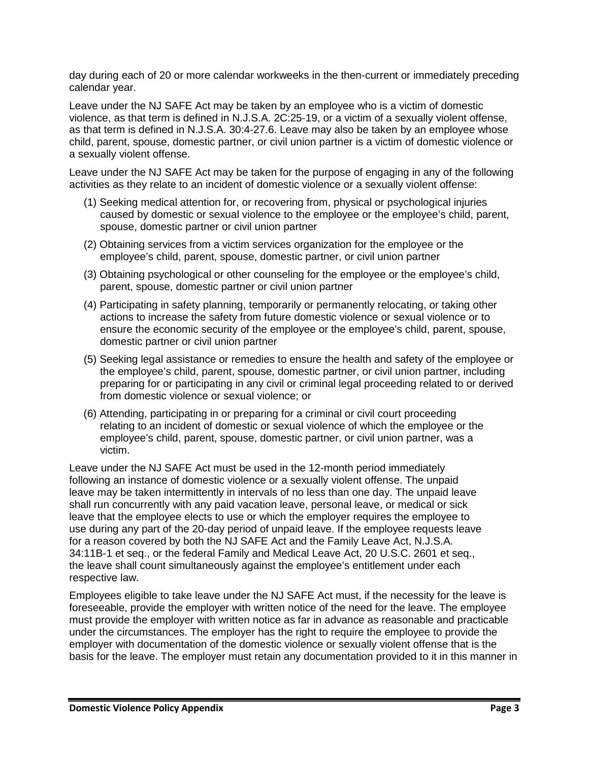day during each of 20 or more calendar workweeks in the then-current or immediately preceding calendar year.

Leave under the NJ SAFE Act may be taken by an employee who is a victim of domestic violence, as that term is defined in N.J.S.A. 2C:25-19, or a victim of a sexually violent offense, as that term is defined in N.J.S.A. 30:4-27.6. Leave may also be taken by an employee whose child, parent, spouse, domestic partner, or civil union partner is a victim of domestic violence or a sexually violent offense.

Leave under the NJ SAFE Act may be taken for the purpose of engaging in any of the following activities as they relate to an incident of domestic violence or a sexually violent offense:

- (1) Seeking medical attention for, or recovering from, physical or psychological injuries caused by domestic or sexual violence to the employee or the employee's child, parent, spouse, domestic partner or civil union partner
- (2) Obtaining services from a victim services organization for the employee or the employee's child, parent, spouse, domestic partner, or civil union partner
- (3) Obtaining psychological or other counseling for the employee or the employee's child, parent, spouse, domestic partner or civil union partner
- (4) Participating in safety planning, temporarily or permanently relocating, or taking other actions to increase the safety from future domestic violence or sexual violence or to ensure the economic security of the employee or the employee's child, parent, spouse, domestic partner or civil union partner
- (5) Seeking legal assistance or remedies to ensure the health and safety of the employee or the employee's child, parent, spouse, domestic partner, or civil union partner, including preparing for or participating in any civil or criminal legal proceeding related to or derived from domestic violence or sexual violence; or
- (6) Attending, participating in or preparing for a criminal or civil court proceeding relating to an incident of domestic or sexual violence of which the employee or the employee's child, parent, spouse, domestic partner, or civil union partner, was a victim.

Leave under the NJ SAFE Act must be used in the 12-month period immediately following an instance of domestic violence or a sexually violent offense. The unpaid leave may be taken intermittently in intervals of no less than one day. The unpaid leave shall run concurrently with any paid vacation leave, personal leave, or medical or sick leave that the employee elects to use or which the employer requires the employee to use during any part of the 20-day period of unpaid leave. If the employee requests leave for a reason covered by both the NJ SAFE Act and the Family Leave Act, N.J.S.A. 34:11B-1 et seq., or the federal Family and Medical Leave Act, 20 U.S.C. 2601 et seq., the leave shall count simultaneously against the employee's entitlement under each respective law.

Employees eligible to take leave under the NJ SAFE Act must, if the necessity for the leave is foreseeable, provide the employer with written notice of the need for the leave. The employee must provide the employer with written notice as far in advance as reasonable and practicable under the circumstances. The employer has the right to require the employee to provide the employer with documentation of the domestic violence or sexually violent offense that is the basis for the leave. The employer must retain any documentation provided to it in this manner in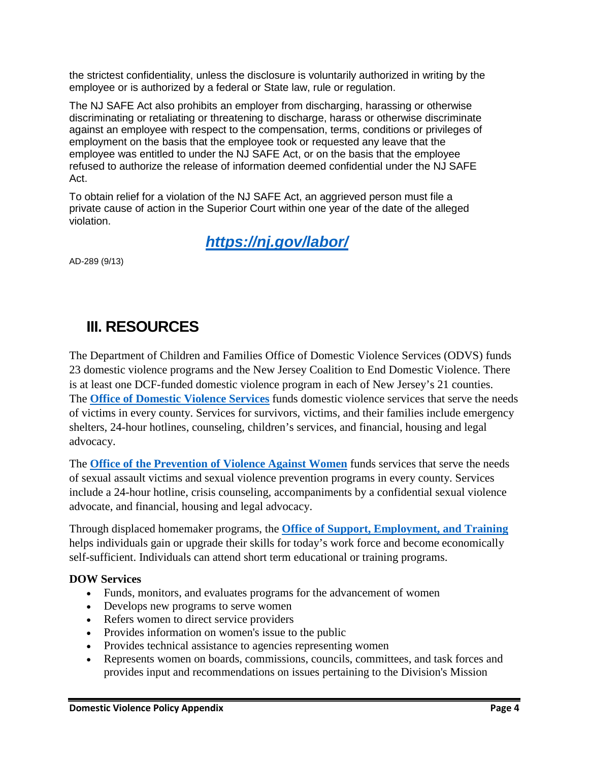the strictest confidentiality, unless the disclosure is voluntarily authorized in writing by the employee or is authorized by a federal or State law, rule or regulation.

The NJ SAFE Act also prohibits an employer from discharging, harassing or otherwise discriminating or retaliating or threatening to discharge, harass or otherwise discriminate against an employee with respect to the compensation, terms, conditions or privileges of employment on the basis that the employee took or requested any leave that the employee was entitled to under the NJ SAFE Act, or on the basis that the employee refused to authorize the release of information deemed confidential under the NJ SAFE Act.

To obtain relief for a violation of the NJ SAFE Act, an aggrieved person must file a private cause of action in the Superior Court within one year of the date of the alleged violation.

*<https://nj.gov/labor/>*

AD-289 (9/13)

## **III. RESOURCES**

The Department of Children and Families Office of Domestic Violence Services (ODVS) funds 23 domestic violence programs and the New Jersey Coalition to End Domestic Violence. There is at least one DCF-funded domestic violence program in each of New Jersey's 21 counties. The **[Office of Domestic Violence Services](http://www.nj.gov/dcf/women/domestic/)** funds domestic violence services that serve the needs of victims in every county. Services for survivors, victims, and their families include emergency shelters, 24-hour hotlines, counseling, children's services, and financial, housing and legal advocacy.

The **[Office of the Prevention of Violence Against Women](http://www.nj.gov/dcf/women/opvaw/)** funds services that serve the needs of sexual assault victims and sexual violence prevention programs in every county. Services include a 24-hour hotline, crisis counseling, accompaniments by a confidential sexual violence advocate, and financial, housing and legal advocacy.

Through displaced homemaker programs, the **[Office of Support, Employment, and Training](http://www.nj.gov/dcf/women/displaced/)** helps individuals gain or upgrade their skills for today's work force and become economically self-sufficient. Individuals can attend short term educational or training programs.

#### **DOW Services**

- Funds, monitors, and evaluates programs for the advancement of women
- Develops new programs to serve women
- Refers women to direct service providers
- Provides information on women's issue to the public
- Provides technical assistance to agencies representing women
- Represents women on boards, commissions, councils, committees, and task forces and provides input and recommendations on issues pertaining to the Division's Mission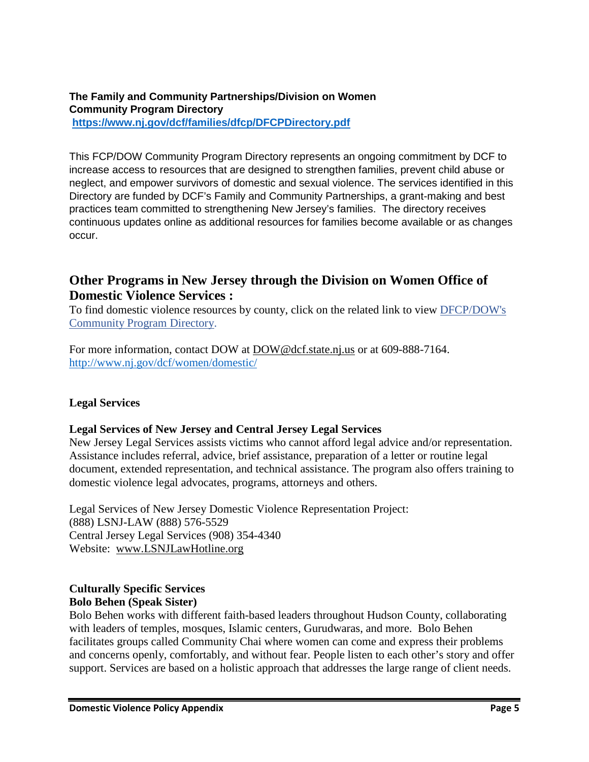#### **The Family and Community Partnerships/Division on Women Community Program Directory <https://www.nj.gov/dcf/families/dfcp/DFCPDirectory.pdf>**

This FCP/DOW Community Program Directory represents an ongoing commitment by DCF to increase access to resources that are designed to strengthen families, prevent child abuse or neglect, and empower survivors of domestic and sexual violence. The services identified in this Directory are funded by DCF's Family and Community Partnerships, a grant-making and best practices team committed to strengthening New Jersey's families. The directory receives continuous updates online as additional resources for families become available or as changes occur.

### **Other Programs in New Jersey through the Division on Women Office of Domestic Violence Services :**

To find domestic violence resources by county, click on the related link to view [DFCP/DOW's](http://www.nj.gov/dcf/families/dfcp/index.html)  [Community Program Directory.](http://www.nj.gov/dcf/families/dfcp/index.html)

For more information, contact DOW at [DOW@dcf.state.nj.us](mailto:DOW@dcf.state.nj.us) or at 609-888-7164. <http://www.nj.gov/dcf/women/domestic/>

#### **Legal Services**

#### **Legal Services of New Jersey and Central Jersey Legal Services**

New Jersey Legal Services assists victims who cannot afford legal advice and/or representation. Assistance includes referral, advice, brief assistance, preparation of a letter or routine legal document, extended representation, and technical assistance. The program also offers training to domestic violence legal advocates, programs, attorneys and others.

Legal Services of New Jersey Domestic Violence Representation Project: (888) LSNJ-LAW (888) 576-5529 Central Jersey Legal Services (908) 354-4340 Website: [www.LSNJLawHotline.org](http://www.lsnjlawhotline.org/)

#### **Culturally Specific Services Bolo Behen (Speak Sister)**

Bolo Behen works with different faith-based leaders throughout Hudson County, collaborating with leaders of temples, mosques, Islamic centers, Gurudwaras, and more. Bolo Behen facilitates groups called Community Chai where women can come and express their problems and concerns openly, comfortably, and without fear. People listen to each other's story and offer support. Services are based on a holistic approach that addresses the large range of client needs.